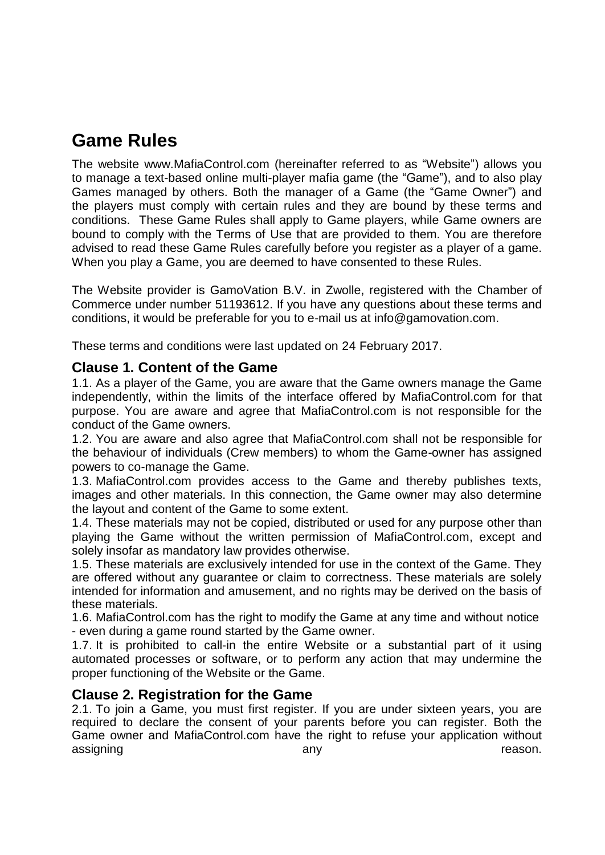# **Game Rules**

The website [www.MafiaControl.com](http://www.mafiacontrol.com/) (hereinafter referred to as "Website") allows you to manage a text-based online multi-player mafia game (the "Game"), and to also play Games managed by others. Both the manager of a Game (the "Game Owner") and the players must comply with certain rules and they are bound by these terms and conditions. These Game Rules shall apply to Game players, while Game owners are bound to comply with the Terms of Use that are provided to them. You are therefore advised to read these Game Rules carefully before you register as a player of a game. When you play a Game, you are deemed to have consented to these Rules.

The Website provider is GamoVation B.V. in Zwolle, registered with the Chamber of Commerce under number 51193612. If you have any questions about these terms and conditions, it would be preferable for you to e-mail us at [info@gamovation.com.](mailto:info@gamovation.com)

These terms and conditions were last updated on 24 February 2017.

# **Clause 1. Content of the Game**

1.1. As a player of the Game, you are aware that the Game owners manage the Game independently, within the limits of the interface offered by MafiaControl.com for that purpose. You are aware and agree that MafiaControl.com is not responsible for the conduct of the Game owners.

1.2. You are aware and also agree that MafiaControl.com shall not be responsible for the behaviour of individuals (Crew members) to whom the Game-owner has assigned powers to co-manage the Game.

1.3. MafiaControl.com provides access to the Game and thereby publishes texts, images and other materials. In this connection, the Game owner may also determine the layout and content of the Game to some extent.

1.4. These materials may not be copied, distributed or used for any purpose other than playing the Game without the written permission of MafiaControl.com, except and solely insofar as mandatory law provides otherwise.

1.5. These materials are exclusively intended for use in the context of the Game. They are offered without any guarantee or claim to correctness. These materials are solely intended for information and amusement, and no rights may be derived on the basis of these materials.

1.6. MafiaControl.com has the right to modify the Game at any time and without notice - even during a game round started by the Game owner.

1.7. It is prohibited to call-in the entire Website or a substantial part of it using automated processes or software, or to perform any action that may undermine the proper functioning of the Website or the Game.

# **Clause 2. Registration for the Game**

2.1. To join a Game, you must first register. If you are under sixteen years, you are required to declare the consent of your parents before you can register. Both the Game owner and MafiaControl.com have the right to refuse your application without assigning any any any contract of the contract of the contract of the contract of the contract of the contract of the contract of the contract of the contract of the contract of the contract of the contract of the contract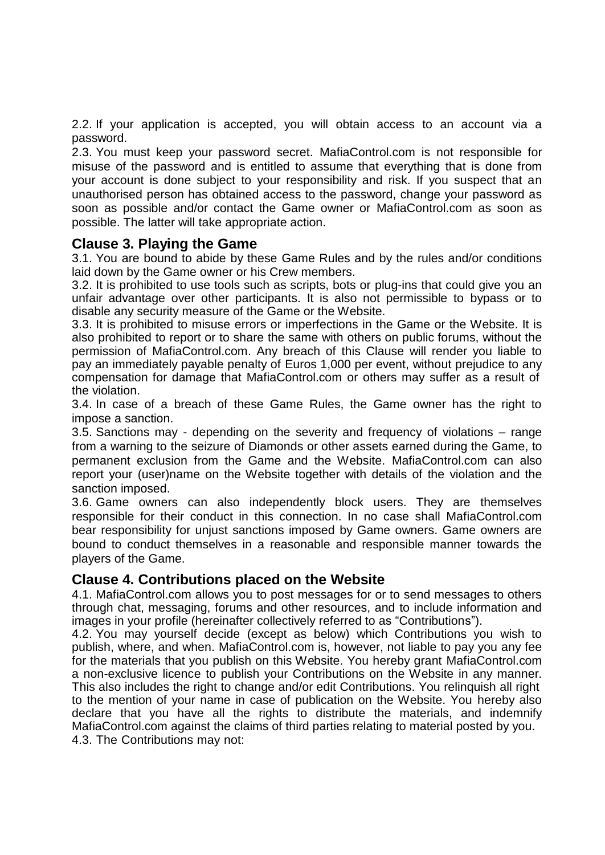2.2. If your application is accepted, you will obtain access to an account via a password.

2.3. You must keep your password secret. MafiaControl.com is not responsible for misuse of the password and is entitled to assume that everything that is done from your account is done subject to your responsibility and risk. If you suspect that an unauthorised person has obtained access to the password, change your password as soon as possible and/or contact the Game owner or MafiaControl.com as soon as possible. The latter will take appropriate action.

## **Clause 3. Playing the Game**

3.1. You are bound to abide by these Game Rules and by the rules and/or conditions laid down by the Game owner or his Crew members.

3.2. It is prohibited to use tools such as scripts, bots or plug-ins that could give you an unfair advantage over other participants. It is also not permissible to bypass or to disable any security measure of the Game or the Website.

3.3. It is prohibited to misuse errors or imperfections in the Game or the Website. It is also prohibited to report or to share the same with others on public forums, without the permission of MafiaControl.com. Any breach of this Clause will render you liable to pay an immediately payable penalty of Euros 1,000 per event, without prejudice to any compensation for damage that MafiaControl.com or others may suffer as a result of the violation.

3.4. In case of a breach of these Game Rules, the Game owner has the right to impose a sanction.

3.5. Sanctions may - depending on the severity and frequency of violations – range from a warning to the seizure of Diamonds or other assets earned during the Game, to permanent exclusion from the Game and the Website. MafiaControl.com can also report your (user)name on the Website together with details of the violation and the sanction imposed.

3.6. Game owners can also independently block users. They are themselves responsible for their conduct in this connection. In no case shall MafiaControl.com bear responsibility for unjust sanctions imposed by Game owners. Game owners are bound to conduct themselves in a reasonable and responsible manner towards the players of the Game.

## **Clause 4. Contributions placed on the Website**

4.1. MafiaControl.com allows you to post messages for or to send messages to others through chat, messaging, forums and other resources, and to include information and images in your profile (hereinafter collectively referred to as "Contributions").

4.2. You may yourself decide (except as below) which Contributions you wish to publish, where, and when. MafiaControl.com is, however, not liable to pay you any fee for the materials that you publish on this Website. You hereby grant MafiaControl.com a non-exclusive licence to publish your Contributions on the Website in any manner. This also includes the right to change and/or edit Contributions. You relinquish all right to the mention of your name in case of publication on the Website. You hereby also declare that you have all the rights to distribute the materials, and indemnify MafiaControl.com against the claims of third parties relating to material posted by you. 4.3. The Contributions may not: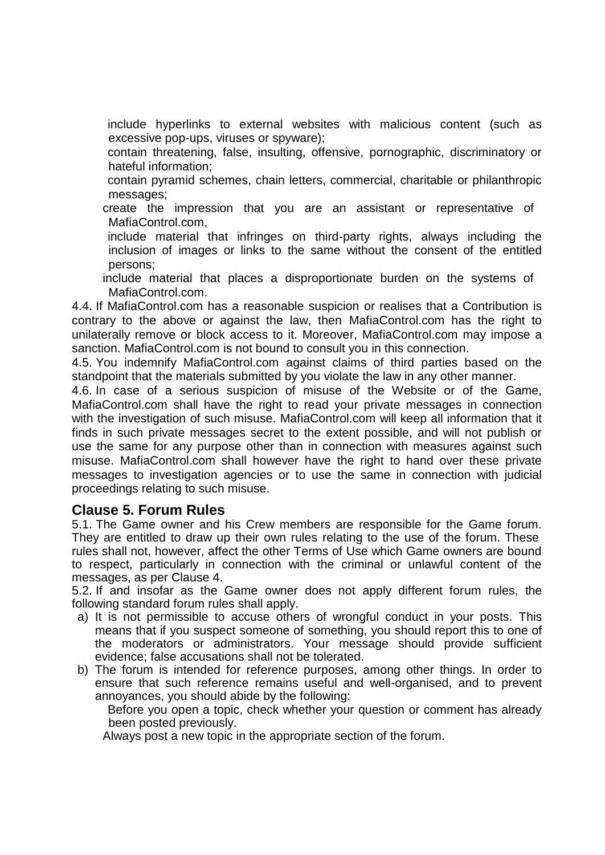include hyperlinks to external websites with malicious content (such as excessive pop-ups, viruses or spyware);

contain threatening, false, insulting, offensive, pornographic, discriminatory or hateful information;

contain pyramid schemes, chain letters, commercial, charitable or philanthropic messages;

 create the impression that you are an assistant or representative of MafiaControl.com,

include material that infringes on third-party rights, always including the inclusion of images or links to the same without the consent of the entitled persons;

 include material that places a disproportionate burden on the systems of MafiaControl.com.

4.4. If MafiaControl.com has a reasonable suspicion or realises that a Contribution is contrary to the above or against the law, then MafiaControl.com has the right to unilaterally remove or block access to it. Moreover, MafiaControl.com may impose a sanction. MafiaControl.com is not bound to consult you in this connection.

4.5. You indemnify MafiaControl.com against claims of third parties based on the standpoint that the materials submitted by you violate the law in any other manner.

4.6. In case of a serious suspicion of misuse of the Website or of the Game, MafiaControl.com shall have the right to read your private messages in connection with the investigation of such misuse. MafiaControl.com will keep all information that it finds in such private messages secret to the extent possible, and will not publish or use the same for any purpose other than in connection with measures against such misuse. MafiaControl.com shall however have the right to hand over these private messages to investigation agencies or to use the same in connection with judicial proceedings relating to such misuse.

## **Clause 5. Forum Rules**

5.1. The Game owner and his Crew members are responsible for the Game forum. They are entitled to draw up their own rules relating to the use of the forum. These rules shall not, however, affect the other Terms of Use which Game owners are bound to respect, particularly in connection with the criminal or unlawful content of the messages, as per Clause 4.

5.2. If and insofar as the Game owner does not apply different forum rules, the following standard forum rules shall apply.

- a) It is not permissible to accuse others of wrongful conduct in your posts. This means that if you suspect someone of something, you should report this to one of the moderators or administrators. Your message should provide sufficient evidence; false accusations shall not be tolerated.
- b) The forum is intended for reference purposes, among other things. In order to ensure that such reference remains useful and well-organised, and to prevent annoyances, you should abide by the following:

Before you open a topic, check whether your question or comment has already been posted previously.

Always post a new topic in the appropriate section of the forum.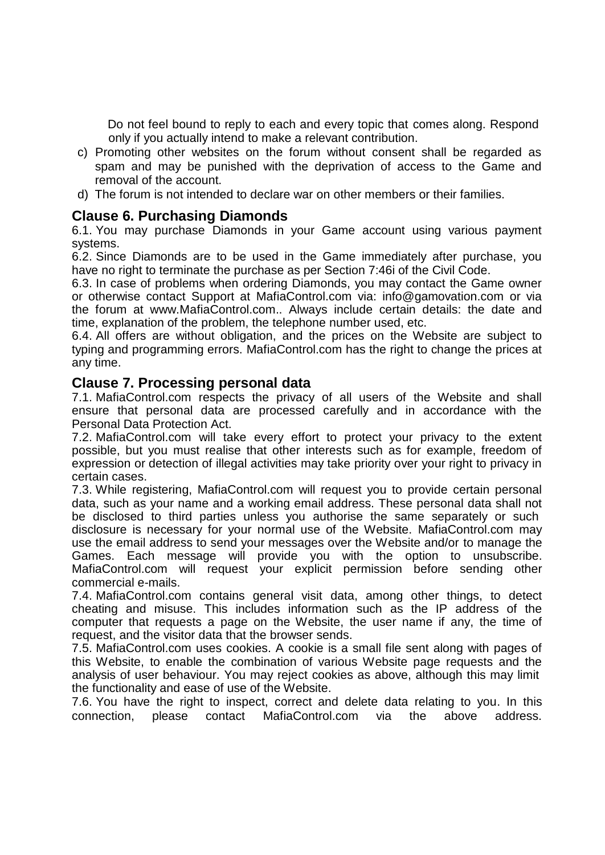Do not feel bound to reply to each and every topic that comes along. Respond only if you actually intend to make a relevant contribution.

- c) Promoting other websites on the forum without consent shall be regarded as spam and may be punished with the deprivation of access to the Game and removal of the account.
- d) The forum is not intended to declare war on other members or their families.

## **Clause 6. Purchasing Diamonds**

6.1. You may purchase Diamonds in your Game account using various payment systems.

6.2. Since Diamonds are to be used in the Game immediately after purchase, you have no right to terminate the purchase as per Section 7:46i of the Civil Code.

6.3. In case of problems when ordering Diamonds, you may contact the Game owner or otherwise contact Support at MafiaControl.com via: [info@gamovation.com](mailto:info@gamovation.com) or via the forum at [www.MafiaControl.com.](http://www.mafiacontrol.com/). Always include certain details: the date and time, explanation of the problem, the telephone number used, etc.

6.4. All offers are without obligation, and the prices on the Website are subject to typing and programming errors. MafiaControl.com has the right to change the prices at any time.

#### **Clause 7. Processing personal data**

7.1. MafiaControl.com respects the privacy of all users of the Website and shall ensure that personal data are processed carefully and in accordance with the Personal Data Protection Act.

7.2. MafiaControl.com will take every effort to protect your privacy to the extent possible, but you must realise that other interests such as for example, freedom of expression or detection of illegal activities may take priority over your right to privacy in certain cases.

7.3. While registering, MafiaControl.com will request you to provide certain personal data, such as your name and a working email address. These personal data shall not be disclosed to third parties unless you authorise the same separately or such disclosure is necessary for your normal use of the Website. MafiaControl.com may use the email address to send your messages over the Website and/or to manage the Games. Each message will provide you with the option to unsubscribe. MafiaControl.com will request your explicit permission before sending other commercial e-mails.

7.4. MafiaControl.com contains general visit data, among other things, to detect cheating and misuse. This includes information such as the IP address of the computer that requests a page on the Website, the user name if any, the time of request, and the visitor data that the browser sends.

7.5. MafiaControl.com uses cookies. A cookie is a small file sent along with pages of this Website, to enable the combination of various Website page requests and the analysis of user behaviour. You may reject cookies as above, although this may limit the functionality and ease of use of the Website.

7.6. You have the right to inspect, correct and delete data relating to you. In this connection, please contact MafiaControl.com via the above address.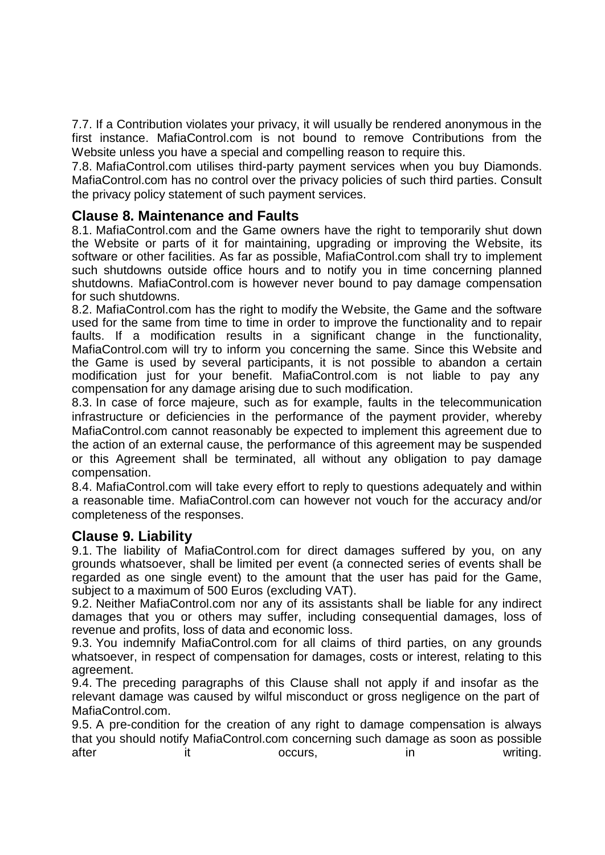7.7. If a Contribution violates your privacy, it will usually be rendered anonymous in the first instance. MafiaControl.com is not bound to remove Contributions from the Website unless you have a special and compelling reason to require this.

7.8. MafiaControl.com utilises third-party payment services when you buy Diamonds. MafiaControl.com has no control over the privacy policies of such third parties. Consult the privacy policy statement of such payment services.

## **Clause 8. Maintenance and Faults**

8.1. MafiaControl.com and the Game owners have the right to temporarily shut down the Website or parts of it for maintaining, upgrading or improving the Website, its software or other facilities. As far as possible, MafiaControl.com shall try to implement such shutdowns outside office hours and to notify you in time concerning planned shutdowns. MafiaControl.com is however never bound to pay damage compensation for such shutdowns.

8.2. MafiaControl.com has the right to modify the Website, the Game and the software used for the same from time to time in order to improve the functionality and to repair faults. If a modification results in a significant change in the functionality, MafiaControl.com will try to inform you concerning the same. Since this Website and the Game is used by several participants, it is not possible to abandon a certain modification just for your benefit. MafiaControl.com is not liable to pay any compensation for any damage arising due to such modification.

8.3. In case of force majeure, such as for example, faults in the telecommunication infrastructure or deficiencies in the performance of the payment provider, whereby MafiaControl.com cannot reasonably be expected to implement this agreement due to the action of an external cause, the performance of this agreement may be suspended or this Agreement shall be terminated, all without any obligation to pay damage compensation.

8.4. MafiaControl.com will take every effort to reply to questions adequately and within a reasonable time. MafiaControl.com can however not vouch for the accuracy and/or completeness of the responses.

## **Clause 9. Liability**

9.1. The liability of MafiaControl.com for direct damages suffered by you, on any grounds whatsoever, shall be limited per event (a connected series of events shall be regarded as one single event) to the amount that the user has paid for the Game, subject to a maximum of 500 Euros (excluding VAT).

9.2. Neither MafiaControl.com nor any of its assistants shall be liable for any indirect damages that you or others may suffer, including consequential damages, loss of revenue and profits, loss of data and economic loss.

9.3. You indemnify MafiaControl.com for all claims of third parties, on any grounds whatsoever, in respect of compensation for damages, costs or interest, relating to this agreement.

9.4. The preceding paragraphs of this Clause shall not apply if and insofar as the relevant damage was caused by wilful misconduct or gross negligence on the part of MafiaControl.com.

9.5. A pre-condition for the creation of any right to damage compensation is always that you should notify MafiaControl.com concerning such damage as soon as possible after it it occurs, and in writing.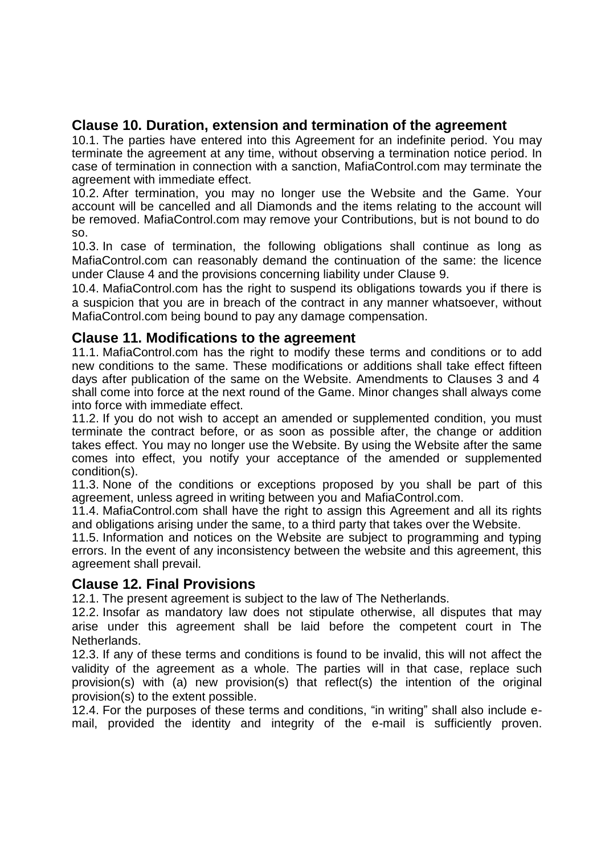# **Clause 10. Duration, extension and termination of the agreement**

10.1. The parties have entered into this Agreement for an indefinite period. You may terminate the agreement at any time, without observing a termination notice period. In case of termination in connection with a sanction, MafiaControl.com may terminate the agreement with immediate effect.

10.2. After termination, you may no longer use the Website and the Game. Your account will be cancelled and all Diamonds and the items relating to the account will be removed. MafiaControl.com may remove your Contributions, but is not bound to do so.

10.3. In case of termination, the following obligations shall continue as long as MafiaControl.com can reasonably demand the continuation of the same: the licence under Clause 4 and the provisions concerning liability under Clause 9.

10.4. MafiaControl.com has the right to suspend its obligations towards you if there is a suspicion that you are in breach of the contract in any manner whatsoever, without MafiaControl.com being bound to pay any damage compensation.

## **Clause 11. Modifications to the agreement**

11.1. MafiaControl.com has the right to modify these terms and conditions or to add new conditions to the same. These modifications or additions shall take effect fifteen days after publication of the same on the Website. Amendments to Clauses 3 and 4 shall come into force at the next round of the Game. Minor changes shall always come into force with immediate effect.

11.2. If you do not wish to accept an amended or supplemented condition, you must terminate the contract before, or as soon as possible after, the change or addition takes effect. You may no longer use the Website. By using the Website after the same comes into effect, you notify your acceptance of the amended or supplemented condition(s).

11.3. None of the conditions or exceptions proposed by you shall be part of this agreement, unless agreed in writing between you and MafiaControl.com.

11.4. MafiaControl.com shall have the right to assign this Agreement and all its rights and obligations arising under the same, to a third party that takes over the Website.

11.5. Information and notices on the Website are subject to programming and typing errors. In the event of any inconsistency between the website and this agreement, this agreement shall prevail.

# **Clause 12. Final Provisions**

12.1. The present agreement is subject to the law of The Netherlands.

12.2. Insofar as mandatory law does not stipulate otherwise, all disputes that may arise under this agreement shall be laid before the competent court in The Netherlands.

12.3. If any of these terms and conditions is found to be invalid, this will not affect the validity of the agreement as a whole. The parties will in that case, replace such provision(s) with (a) new provision(s) that reflect(s) the intention of the original provision(s) to the extent possible.

12.4. For the purposes of these terms and conditions, "in writing" shall also include email, provided the identity and integrity of the e-mail is sufficiently proven.